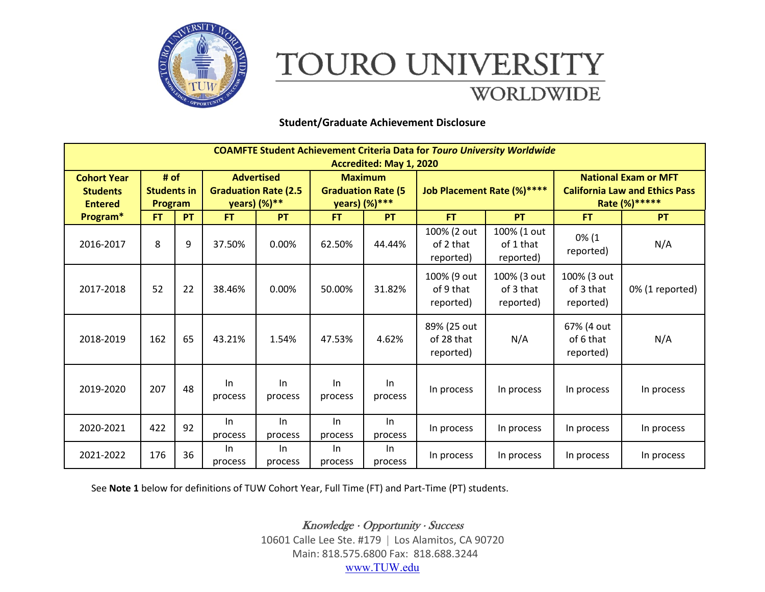

## TOURO UNIVERSITY **WORLDWIDE**

## **Student/Graduate Achievement Disclosure**

| <b>COAMFTE Student Achievement Criteria Data for Touro University Worldwide</b><br>Accredited: May 1, 2020 |                                              |    |                                                                  |                  |                                                              |                  |                                        |                                       |                                                                                        |                 |
|------------------------------------------------------------------------------------------------------------|----------------------------------------------|----|------------------------------------------------------------------|------------------|--------------------------------------------------------------|------------------|----------------------------------------|---------------------------------------|----------------------------------------------------------------------------------------|-----------------|
| <b>Cohort Year</b><br><b>Students</b><br><b>Entered</b>                                                    | # of<br><b>Students in</b><br><b>Program</b> |    | <b>Advertised</b><br><b>Graduation Rate (2.5</b><br>years) (%)** |                  | <b>Maximum</b><br><b>Graduation Rate (5</b><br>years) (%)*** |                  | Job Placement Rate (%)****             |                                       | <b>National Exam or MFT</b><br><b>California Law and Ethics Pass</b><br>Rate (%) ***** |                 |
| Program*                                                                                                   | <b>FT</b>                                    | PT | <b>FT</b>                                                        | PT               | <b>FT</b>                                                    | <b>PT</b>        | <b>FT</b>                              | <b>PT</b>                             | <b>FT</b>                                                                              | <b>PT</b>       |
| 2016-2017                                                                                                  | 8                                            | 9  | 37.50%                                                           | 0.00%            | 62.50%                                                       | 44.44%           | 100% (2 out<br>of 2 that<br>reported)  | 100% (1 out<br>of 1 that<br>reported) | $0\%$ (1<br>reported)                                                                  | N/A             |
| 2017-2018                                                                                                  | 52                                           | 22 | 38.46%                                                           | 0.00%            | 50.00%                                                       | 31.82%           | 100% (9 out<br>of 9 that<br>reported)  | 100% (3 out<br>of 3 that<br>reported) | 100% (3 out<br>of 3 that<br>reported)                                                  | 0% (1 reported) |
| 2018-2019                                                                                                  | 162                                          | 65 | 43.21%                                                           | 1.54%            | 47.53%                                                       | 4.62%            | 89% (25 out<br>of 28 that<br>reported) | N/A                                   | 67% (4 out<br>of 6 that<br>reported)                                                   | N/A             |
| 2019-2020                                                                                                  | 207                                          | 48 | In<br>process                                                    | In<br>process    | In<br>process                                                | $\ln$<br>process | In process                             | In process                            | In process                                                                             | In process      |
| 2020-2021                                                                                                  | 422                                          | 92 | In<br>process                                                    | In<br>process    | $\ln$<br>process                                             | In<br>process    | In process                             | In process                            | In process                                                                             | In process      |
| 2021-2022                                                                                                  | 176                                          | 36 | In<br>process                                                    | $\ln$<br>process | $\ln$<br>process                                             | In<br>process    | In process                             | In process                            | In process                                                                             | In process      |

See **Note 1** below for definitions of TUW Cohort Year, Full Time (FT) and Part-Time (PT) students.

 $Knowledge \cdot Opportunity \cdot Success$ 10601 Calle Lee Ste. #179 Los Alamitos, CA 90720 Main: 818.575.6800 Fax: 818.688.3244 [www.TUW.edu](http://www.tuw.edu/)